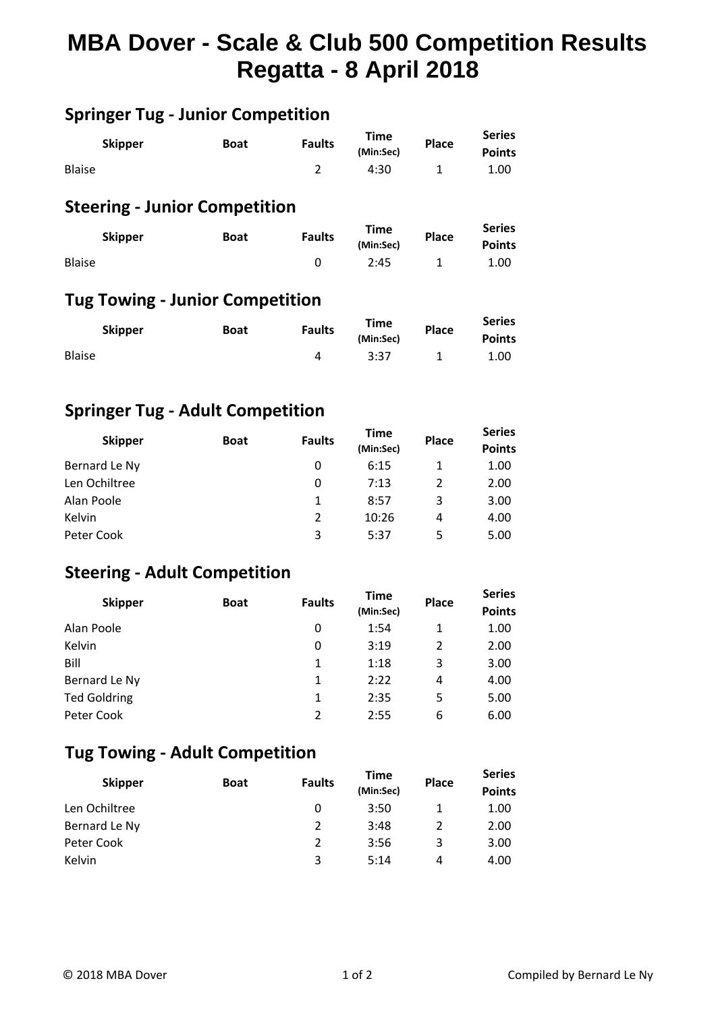# **MBA Dover - Scale & Club 500 Competition Results Regatta - 8 April 2018**

## **Springer Tug - Junior Competition**

|               | <b>Skipper</b> | <b>Boat</b> | <b>Faults</b> | <b>Time</b> | <b>Place</b> | <b>Series</b> |  |
|---------------|----------------|-------------|---------------|-------------|--------------|---------------|--|
|               |                |             |               | (Min:Sec)   |              | <b>Points</b> |  |
| <b>Blaise</b> |                |             |               | 4:30        |              | 1.00          |  |

# **Steering - Junior Competition**

| <b>Skipper</b> | <b>Boat</b> | <b>Faults</b> | Time      | <b>Place</b> | <b>Series</b> |  |
|----------------|-------------|---------------|-----------|--------------|---------------|--|
|                |             |               | (Min:Sec) |              | <b>Points</b> |  |
| <b>Blaise</b>  |             |               | 2:45      |              | 1.00          |  |

#### **Tug Towing - Junior Competition**

|               | <b>Skipper</b> | <b>Boat</b> | <b>Faults</b> | Time<br>(Min:Sec) | <b>Place</b> | <b>Series</b><br><b>Points</b> |  |
|---------------|----------------|-------------|---------------|-------------------|--------------|--------------------------------|--|
| <b>Blaise</b> |                |             |               | 3:37              |              | 1.00                           |  |

#### **Springer Tug - Adult Competition**

| <b>Skipper</b> | <b>Boat</b> | <b>Faults</b> | <b>Time</b> | <b>Place</b> | <b>Series</b> |  |
|----------------|-------------|---------------|-------------|--------------|---------------|--|
|                |             |               | (Min:Sec)   |              | <b>Points</b> |  |
| Bernard Le Ny  |             | 0             | 6:15        | 1            | 1.00          |  |
| Len Ochiltree  |             | 0             | 7:13        | 2            | 2.00          |  |
| Alan Poole     |             | 1             | 8:57        | 3            | 3.00          |  |
| Kelvin         |             | 2             | 10:26       | 4            | 4.00          |  |
| Peter Cook     |             | 3             | 5:37        | 5            | 5.00          |  |

### **Steering - Adult Competition**

| <b>Skipper</b>      | <b>Boat</b> | <b>Faults</b> | <b>Time</b><br>(Min:Sec) | <b>Place</b> | <b>Series</b><br><b>Points</b> |
|---------------------|-------------|---------------|--------------------------|--------------|--------------------------------|
| Alan Poole          |             | 0             | 1:54                     | 1            | 1.00                           |
| Kelvin              |             | 0             | 3:19                     | 2            | 2.00                           |
| Bill                |             | 1             | 1:18                     | 3            | 3.00                           |
| Bernard Le Ny       |             | 1             | 2:22                     | 4            | 4.00                           |
| <b>Ted Goldring</b> |             | 1             | 2:35                     | 5            | 5.00                           |
| Peter Cook          |             | $\mathcal{P}$ | 2:55                     | 6            | 6.00                           |

## **Tug Towing - Adult Competition**

| <b>Skipper</b> | <b>Boat</b> | <b>Faults</b> | Time<br>(Min:Sec) | <b>Place</b> | <b>Series</b><br><b>Points</b> |
|----------------|-------------|---------------|-------------------|--------------|--------------------------------|
| Len Ochiltree  |             | 0             | 3:50              |              | 1.00                           |
| Bernard Le Ny  |             | $\mathcal{P}$ | 3:48              |              | 2.00                           |
| Peter Cook     |             | $\mathcal{P}$ | 3:56              | 3            | 3.00                           |
| Kelvin         |             | 3             | 5:14              | 4            | 4.00                           |